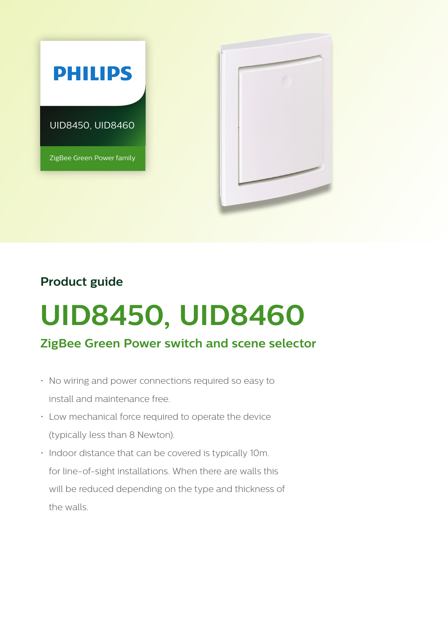

## **Product guide**

# **UID8450, UID8460**

## **ZigBee Green Power switch and scene selector**

- No wiring and power connections required so easy to install and maintenance free.
- Low mechanical force required to operate the device (typically less than 8 Newton).
- Indoor distance that can be covered is typically 10m. for line-of-sight installations. When there are walls this will be reduced depending on the type and thickness of the walls.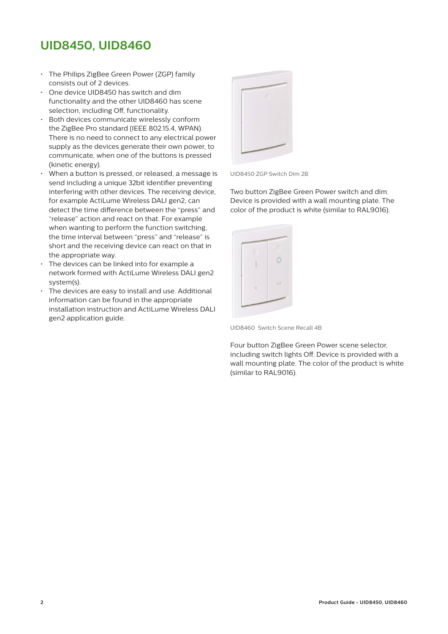## **UID8450, UID8460**

- The Philips ZigBee Green Power (ZGP) family consists out of 2 devices.
- One device UID8450 has switch and dim functionality and the other UID8460 has scene selection, including Off, functionality.
- Both devices communicate wirelessly conform the ZigBee Pro standard (IEEE 802.15.4, WPAN). There is no need to connect to any electrical power supply as the devices generate their own power, to communicate, when one of the buttons is pressed (kinetic energy).
- When a button is pressed, or released, a message is send including a unique 32bit identifier preventing interfering with other devices. The receiving device, for example ActiLume Wireless DALI gen2, can detect the time difference between the "press" and "release" action and react on that. For example when wanting to perform the function switching, the time interval between "press" and "release" is short and the receiving device can react on that in the appropriate way.
- The devices can be linked into for example a network formed with ActiLume Wireless DALI gen2 system(s).
- The devices are easy to install and use. Additional information can be found in the appropriate installation instruction and ActiLume Wireless DALI gen2 application guide.



UID8450 ZGP Switch Dim 2B

Two button ZigBee Green Power switch and dim. Device is provided with a wall mounting plate. The color of the product is white (similar to RAL9016).



UID8460 Switch Scene Recall 4B

Four button ZigBee Green Power scene selector, including switch lights Off. Device is provided with a wall mounting plate. The color of the product is white (similar to RAL9016).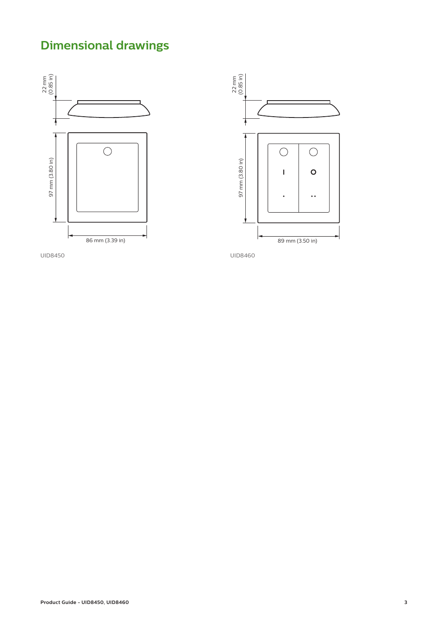# **Dimensional drawings**





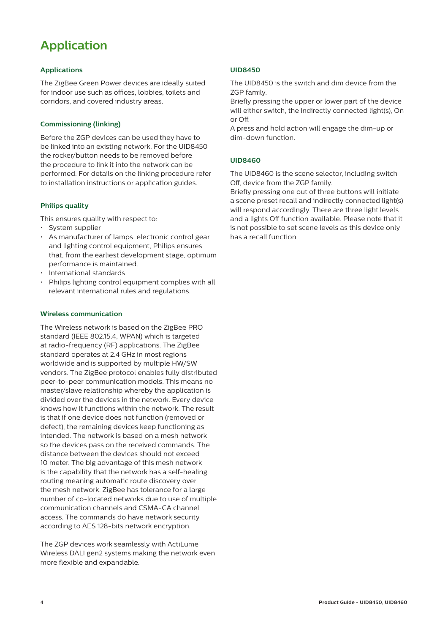## **Application**

#### **Applications**

The ZigBee Green Power devices are ideally suited for indoor use such as offices, lobbies, toilets and corridors, and covered industry areas.

#### **Commissioning (linking)**

Before the ZGP devices can be used they have to be linked into an existing network. For the UID8450 the rocker/button needs to be removed before the procedure to link it into the network can be performed. For details on the linking procedure refer to installation instructions or application guides.

#### **Philips quality**

This ensures quality with respect to:

- System supplier
- As manufacturer of lamps, electronic control gear and lighting control equipment, Philips ensures that, from the earliest development stage, optimum performance is maintained.
- International standards
- Philips lighting control equipment complies with all relevant international rules and regulations.

#### **Wireless communication**

The Wireless network is based on the ZigBee PRO standard (IEEE 802.15.4, WPAN) which is targeted at radio-frequency (RF) applications. The ZigBee standard operates at 2.4 GHz in most regions worldwide and is supported by multiple HW/SW vendors. The ZigBee protocol enables fully distributed peer-to-peer communication models. This means no master/slave relationship whereby the application is divided over the devices in the network. Every device knows how it functions within the network. The result is that if one device does not function (removed or defect), the remaining devices keep functioning as intended. The network is based on a mesh network so the devices pass on the received commands. The distance between the devices should not exceed 10 meter. The big advantage of this mesh network is the capability that the network has a self-healing routing meaning automatic route discovery over the mesh network. ZigBee has tolerance for a large number of co-located networks due to use of multiple communication channels and CSMA-CA channel access. The commands do have network security according to AES 128-bits network encryption.

The ZGP devices work seamlessly with ActiLume Wireless DALI gen2 systems making the network even more flexible and expandable.

#### **UID8450**

The UID8450 is the switch and dim device from the ZGP family.

Briefly pressing the upper or lower part of the device will either switch, the indirectly connected light(s), On or Off.

A press and hold action will engage the dim-up or dim-down function.

#### **UID8460**

The UID8460 is the scene selector, including switch Off, device from the ZGP family.

Briefly pressing one out of three buttons will initiate a scene preset recall and indirectly connected light(s) will respond accordingly. There are three light levels and a lights Off function available. Please note that it is not possible to set scene levels as this device only has a recall function.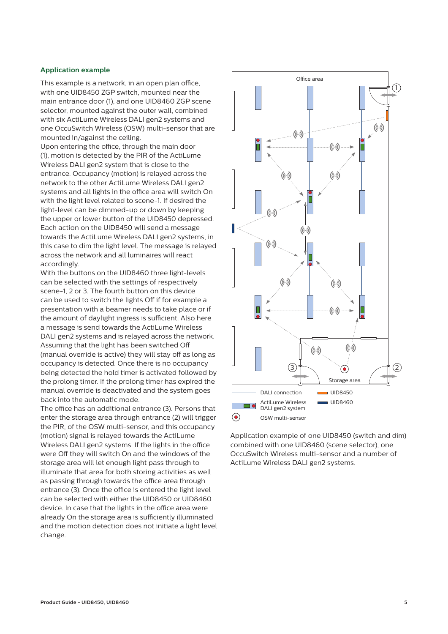#### **Application example**

This example is a network, in an open plan office, with one UID8450 ZGP switch, mounted near the main entrance door (1), and one UID8460 ZGP scene selector, mounted against the outer wall, combined with six ActiLume Wireless DALI gen2 systems and one OccuSwitch Wireless (OSW) multi-sensor that are mounted in/against the ceiling.

Upon entering the office, through the main door (1), motion is detected by the PIR of the ActiLume Wireless DALI gen2 system that is close to the entrance. Occupancy (motion) is relayed across the network to the other ActiLume Wireless DALI gen2 systems and all lights in the office area will switch On with the light level related to scene-1. If desired the light-level can be dimmed-up or down by keeping the upper or lower button of the UID8450 depressed. Each action on the UID8450 will send a message towards the ActiLume Wireless DALI gen2 systems, in this case to dim the light level. The message is relayed across the network and all luminaires will react accordingly.

With the buttons on the UID8460 three light-levels can be selected with the settings of respectively scene-1, 2 or 3. The fourth button on this device can be used to switch the lights Off if for example a presentation with a beamer needs to take place or if the amount of daylight ingress is sufficient. Also here a message is send towards the ActiLume Wireless DALI gen2 systems and is relayed across the network. Assuming that the light has been switched Off (manual override is active) they will stay off as long as occupancy is detected. Once there is no occupancy being detected the hold timer is activated followed by the prolong timer. If the prolong timer has expired the manual override is deactivated and the system goes back into the automatic mode.

The office has an additional entrance (3). Persons that enter the storage area through entrance (2) will trigger the PIR, of the OSW multi-sensor, and this occupancy (motion) signal is relayed towards the ActiLume Wireless DALI gen2 systems. If the lights in the office were Off they will switch On and the windows of the storage area will let enough light pass through to illuminate that area for both storing activities as well as passing through towards the office area through entrance (3). Once the office is entered the light level can be selected with either the UID8450 or UID8460 device. In case that the lights in the office area were already On the storage area is sufficiently illuminated and the motion detection does not initiate a light level change.



Application example of one UID8450 (switch and dim) combined with one UID8460 (scene selector), one OccuSwitch Wireless multi-sensor and a number of ActiLume Wireless DALI gen2 systems.